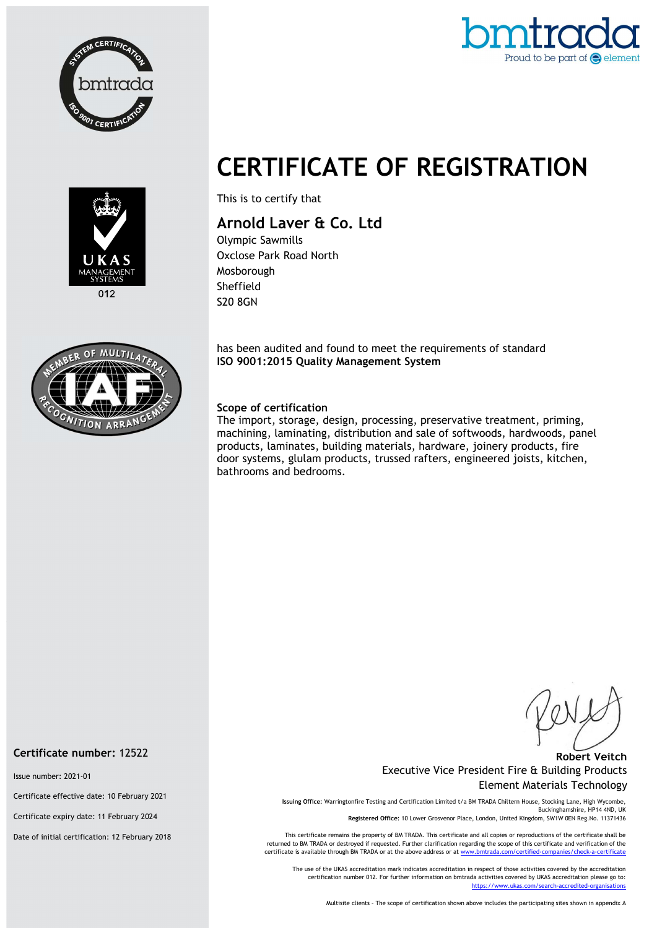



# CERTIFICATE OF REGISTRATION



This is to certify that

## Arnold Laver & Co. Ltd

Olympic Sawmills Oxclose Park Road North Mosborough Sheffield S20 8GN

has been audited and found to meet the requirements of standard ISO 9001:2015 Quality Management System

#### Scope of certification

The import, storage, design, processing, preservative treatment, priming, machining, laminating, distribution and sale of softwoods, hardwoods, panel products, laminates, building materials, hardware, joinery products, fire door systems, glulam products, trussed rafters, engineered joists, kitchen, bathrooms and bedrooms.

#### Robert Veitch Executive Vice President Fire & Building Products Element Materials Technology

Issuing Office: Warringtonfire Testing and Certification Limited t/a BM TRADA Chiltern House, Stocking Lane, High Wycombe, Buckinghamshire, HP14 4ND, UK Registered Office: 10 Lower Grosvenor Place, London, United Kingdom, SW1W 0EN Reg.No. 11371436

This certificate remains the property of BM TRADA. This certificate and all copies or reproductions of the certificate shall be returned to BM TRADA or destroyed if requested. Further clarification regarding the scope of this certificate and verification of the certificate is available through BM TRADA or at the above address or at www.bmtrada.com/certified-companies/check-a-certificate

The use of the UKAS accreditation mark indicates accreditation in respect of those activities covered by the accreditation certification number 012. For further information on bmtrada activities covered by UKAS accreditation please go to: https://www.ukas.com/search-accredited-organisations

Multisite clients – The scope of certification shown above includes the participating sites shown in appendix A

#### Certificate number: 12522

Issue number: 2021-01

Certificate effective date: 10 February 2021

Certificate expiry date: 11 February 2024

Date of initial certification: 12 February 2018

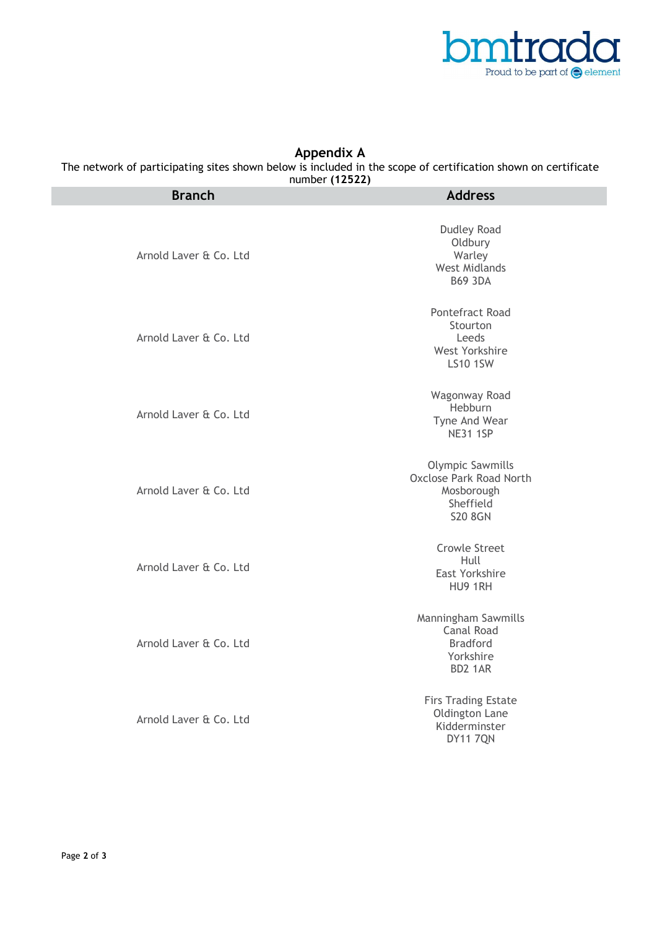

### Appendix A

The network of participating sites shown below is included in the scope of certification shown on certificate

number (12522)

| <b>Branch</b>          | <b>Address</b>                                                                                  |
|------------------------|-------------------------------------------------------------------------------------------------|
| Arnold Laver & Co. Ltd | <b>Dudley Road</b><br>Oldbury<br>Warley<br><b>West Midlands</b><br><b>B69 3DA</b>               |
| Arnold Laver & Co. Ltd | Pontefract Road<br>Stourton<br>Leeds<br>West Yorkshire<br><b>LS10 1SW</b>                       |
| Arnold Laver & Co. Ltd | Wagonway Road<br>Hebburn<br>Tyne And Wear<br><b>NE31 1SP</b>                                    |
| Arnold Laver & Co. Ltd | <b>Olympic Sawmills</b><br>Oxclose Park Road North<br>Mosborough<br>Sheffield<br><b>S20 8GN</b> |
| Arnold Laver & Co. Ltd | <b>Crowle Street</b><br>Hull<br>East Yorkshire<br>HU9 1RH                                       |
| Arnold Laver & Co. Ltd | Manningham Sawmills<br>Canal Road<br><b>Bradford</b><br>Yorkshire<br>BD2 1AR                    |
| Arnold Laver & Co. Ltd | <b>Firs Trading Estate</b><br>Oldington Lane<br>Kidderminster<br><b>DY11 7QN</b>                |